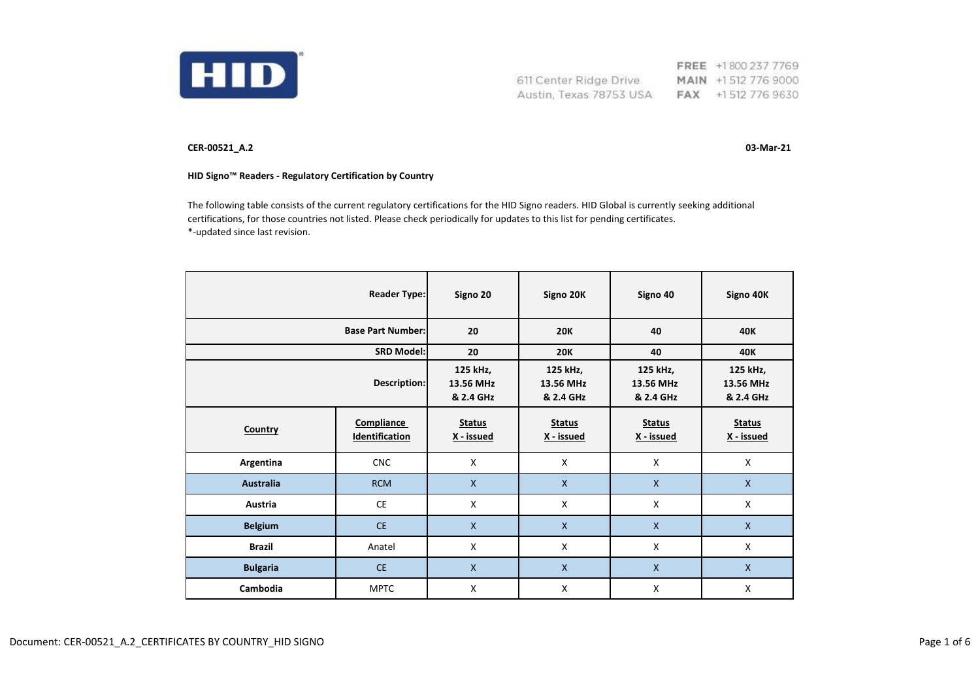

FREE +1800 237 7769 611 Center Ridge Drive MAIN +1512 776 9000 Austin, Texas 78753 USA FAX +1512 776 9630

**CER-00521\_A.2 03-Mar-21**

## **HID Signo™ Readers - Regulatory Certification by Country**

The following table consists of the current regulatory certifications for the HID Signo readers. HID Global is currently seeking additional certifications, for those countries not listed. Please check periodically for updates to this list for pending certificates. \*-updated since last revision.

| <b>Reader Type:</b>      |                                     | Signo 20                           | Signo 20K                          | Signo 40                           | Signo 40K                          |
|--------------------------|-------------------------------------|------------------------------------|------------------------------------|------------------------------------|------------------------------------|
| <b>Base Part Number:</b> |                                     | 20                                 | <b>20K</b>                         | 40                                 | <b>40K</b>                         |
| <b>SRD Model:</b>        |                                     | 20                                 | <b>20K</b>                         | 40                                 | <b>40K</b>                         |
| Description:             |                                     | 125 kHz,<br>13.56 MHz<br>& 2.4 GHz | 125 kHz,<br>13.56 MHz<br>& 2.4 GHz | 125 kHz,<br>13.56 MHz<br>& 2.4 GHz | 125 kHz,<br>13.56 MHz<br>& 2.4 GHz |
| Country                  | Compliance<br><b>Identification</b> | <b>Status</b><br>X - issued        | <b>Status</b><br>X - issued        | <b>Status</b><br>X - issued        | <b>Status</b><br>X - issued        |
| Argentina                | <b>CNC</b>                          | X                                  | X                                  | X                                  | X                                  |
| <b>Australia</b>         | <b>RCM</b>                          | $\mathsf{X}$                       | $\mathsf{X}$                       | $\mathsf{x}$                       | $\mathsf{X}$                       |
| Austria                  | <b>CE</b>                           | X                                  | X                                  | X                                  | X                                  |
| <b>Belgium</b>           | <b>CE</b>                           | $\mathsf{X}$                       | $\mathsf{X}$                       | $\mathsf{x}$                       | $\mathsf{x}$                       |
| <b>Brazil</b>            | Anatel                              | X                                  | X                                  | X                                  | X                                  |
| <b>Bulgaria</b>          | <b>CE</b>                           | $\mathsf{X}$                       | $\mathsf{X}$                       | $\mathsf{X}$                       | $\mathsf{x}$                       |
| Cambodia                 | <b>MPTC</b>                         | X                                  | X                                  | X                                  | X                                  |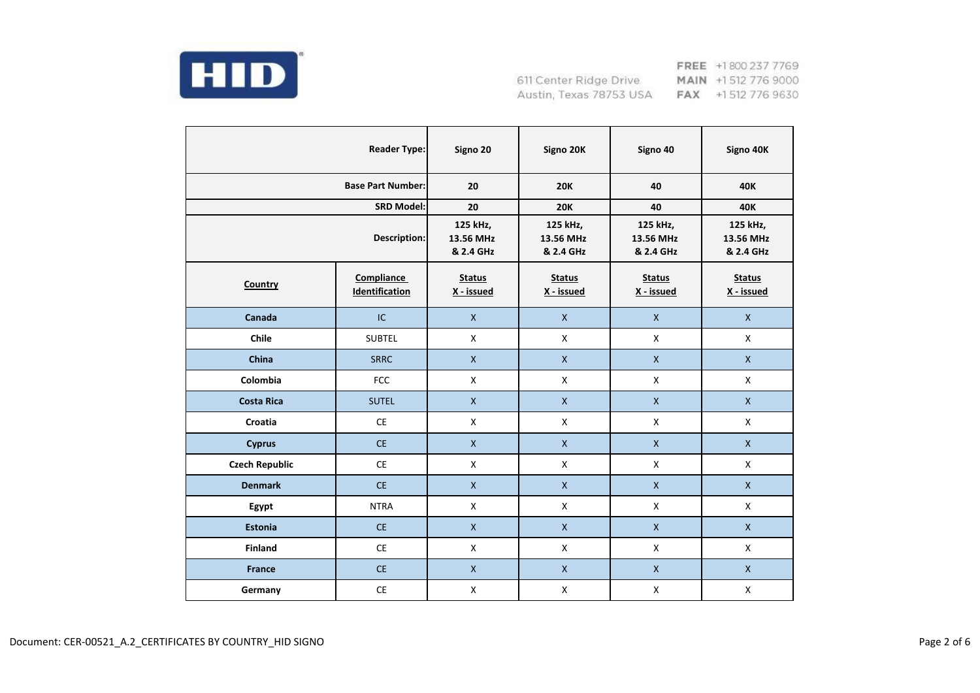

|                          | <b>Reader Type:</b>                 | Signo 20                           | Signo 20K                          | Signo 40                           | Signo 40K                          |
|--------------------------|-------------------------------------|------------------------------------|------------------------------------|------------------------------------|------------------------------------|
| <b>Base Part Number:</b> |                                     | 20                                 | <b>20K</b>                         | 40                                 | <b>40K</b>                         |
|                          | <b>SRD Model:</b>                   | 20                                 | <b>20K</b>                         | 40                                 | <b>40K</b>                         |
| <b>Description:</b>      |                                     | 125 kHz,<br>13.56 MHz<br>& 2.4 GHz | 125 kHz,<br>13.56 MHz<br>& 2.4 GHz | 125 kHz,<br>13.56 MHz<br>& 2.4 GHz | 125 kHz,<br>13.56 MHz<br>& 2.4 GHz |
| <b>Country</b>           | <b>Compliance</b><br>Identification | <b>Status</b><br>X - issued        | <b>Status</b><br>X - issued        | <b>Status</b><br>X - issued        | <b>Status</b><br>X - issued        |
| Canada                   | IC                                  | $\mathsf{X}$                       | $\mathsf{X}$                       | $\mathsf{X}$                       | $\mathsf X$                        |
| Chile                    | <b>SUBTEL</b>                       | X                                  | X                                  | X                                  | X                                  |
| China                    | <b>SRRC</b>                         | $\mathsf{X}$                       | $\mathsf{X}$                       | $\mathsf{X}$                       | $\mathsf{X}$                       |
| Colombia                 | <b>FCC</b>                          | $\mathsf X$                        | X                                  | $\mathsf X$                        | $\pmb{\mathsf{X}}$                 |
| <b>Costa Rica</b>        | <b>SUTEL</b>                        | $\pmb{\mathsf{X}}$                 | $\pmb{\mathsf{X}}$                 | $\mathsf{X}$                       | $\mathsf{X}$                       |
| Croatia                  | <b>CE</b>                           | X                                  | X                                  | X                                  | X                                  |
| <b>Cyprus</b>            | <b>CE</b>                           | $\mathsf X$                        | $\mathsf X$                        | $\mathsf X$                        | $\mathsf X$                        |
| <b>Czech Republic</b>    | <b>CE</b>                           | X                                  | X                                  | X                                  | X                                  |
| <b>Denmark</b>           | CE                                  | $\mathsf{X}$                       | $\mathsf{X}$                       | $\mathsf{X}$                       | $\mathsf X$                        |
| Egypt                    | <b>NTRA</b>                         | $\mathsf{X}$                       | X                                  | $\mathsf{X}$                       | $\mathsf{X}$                       |
| <b>Estonia</b>           | <b>CE</b>                           | $\mathsf{x}$                       | $\mathsf{X}$                       | $\mathsf{X}$                       | $\mathsf{X}$                       |
| <b>Finland</b>           | <b>CE</b>                           | $\mathsf{X}$                       | X                                  | X                                  | X                                  |
| <b>France</b>            | CE                                  | $\mathsf{X}$                       | $\mathsf{X}$                       | $\mathsf{X}$                       | $\mathsf{X}$                       |
| Germany                  | $\mathsf{CE}% _{\mathcal{A}}$       | $\pmb{\mathsf{X}}$                 | $\pmb{\mathsf{X}}$                 | $\mathsf X$                        | $\pmb{\mathsf{X}}$                 |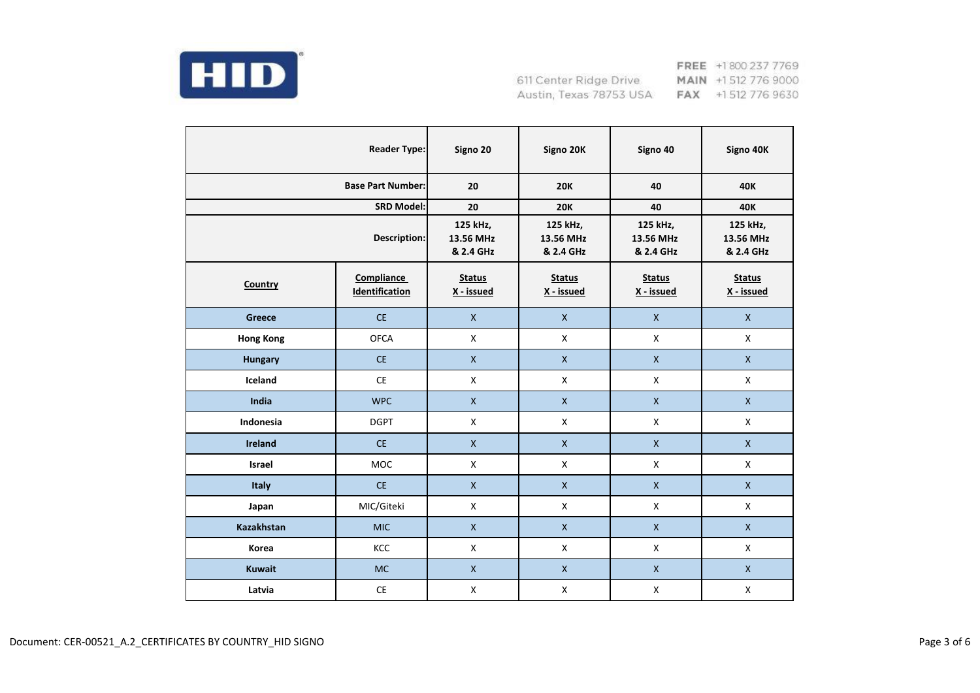

|                          | <b>Reader Type:</b>                 | Signo 20                           | Signo 20K                          | Signo 40                           | Signo 40K                          |
|--------------------------|-------------------------------------|------------------------------------|------------------------------------|------------------------------------|------------------------------------|
| <b>Base Part Number:</b> |                                     | 20                                 | <b>20K</b>                         | 40                                 | 40K                                |
|                          | <b>SRD Model:</b>                   | 20                                 | <b>20K</b>                         | 40                                 | <b>40K</b>                         |
| Description:             |                                     | 125 kHz,<br>13.56 MHz<br>& 2.4 GHz | 125 kHz,<br>13.56 MHz<br>& 2.4 GHz | 125 kHz,<br>13.56 MHz<br>& 2.4 GHz | 125 kHz,<br>13.56 MHz<br>& 2.4 GHz |
| Country                  | <b>Compliance</b><br>Identification | <b>Status</b><br>X - issued        | <b>Status</b><br>X - issued        | <b>Status</b><br>X - issued        | <b>Status</b><br>X - issued        |
| <b>Greece</b>            | <b>CE</b>                           | $\pmb{\mathsf{X}}$                 | $\mathsf{X}$                       | $\mathsf{X}$                       | $\mathsf X$                        |
| <b>Hong Kong</b>         | <b>OFCA</b>                         | $\pmb{\mathsf{X}}$                 | X                                  | X                                  | X                                  |
| <b>Hungary</b>           | CE                                  | $\pmb{\mathsf{X}}$                 | $\mathsf{X}$                       | $\mathsf{X}$                       | $\mathsf X$                        |
| Iceland                  | <b>CE</b>                           | X                                  | X                                  | $\mathsf{X}$                       | $\mathsf{X}$                       |
| India                    | <b>WPC</b>                          | $\mathsf X$                        | $\pmb{\mathsf{X}}$                 | $\mathsf{X}$                       | $\mathsf X$                        |
| Indonesia                | <b>DGPT</b>                         | X                                  | $\mathsf{X}$                       | X                                  | $\mathsf{X}$                       |
| <b>Ireland</b>           | <b>CE</b>                           | $\mathsf{X}$                       | $\mathsf{X}$                       | $\mathsf X$                        | $\mathsf{X}$                       |
| <b>Israel</b>            | <b>MOC</b>                          | X                                  | X                                  | X                                  | X                                  |
| <b>Italy</b>             | <b>CE</b>                           | $\mathsf X$                        | $\mathsf{X}$                       | $\mathsf{X}$                       | $\mathsf X$                        |
| Japan                    | MIC/Giteki                          | X                                  | X                                  | $\mathsf{X}$                       | X                                  |
| <b>Kazakhstan</b>        | <b>MIC</b>                          | $\mathsf{x}$                       | $\mathsf{X}$                       | $\mathsf{X}$                       | $\mathsf{X}$                       |
| Korea                    | KCC                                 | X                                  | X                                  | X                                  | X                                  |
| <b>Kuwait</b>            | <b>MC</b>                           | $\pmb{\mathsf{X}}$                 | $\mathsf{X}$                       | $\pmb{\mathsf{X}}$                 | $\mathsf X$                        |
| Latvia                   | $\mathsf{CE}% _{\mathcal{A}}$       | $\pmb{\mathsf{X}}$                 | $\pmb{\times}$                     | $\pmb{\times}$                     | $\pmb{\mathsf{X}}$                 |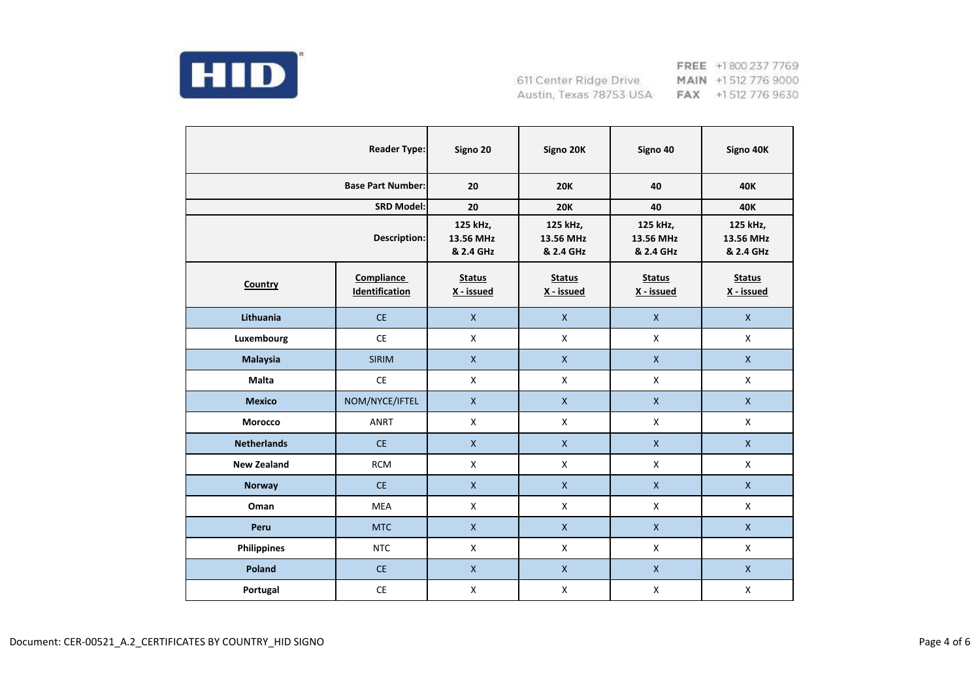

|                          | <b>Reader Type:</b>                 | Signo 20                           | Signo 20K                          | Signo 40                           | Signo 40K                          |
|--------------------------|-------------------------------------|------------------------------------|------------------------------------|------------------------------------|------------------------------------|
| <b>Base Part Number:</b> |                                     | 20                                 | <b>20K</b>                         | 40                                 | 40K                                |
|                          | <b>SRD Model:</b>                   | 20                                 | <b>20K</b>                         | 40                                 | <b>40K</b>                         |
| Description:             |                                     | 125 kHz,<br>13.56 MHz<br>& 2.4 GHz | 125 kHz,<br>13.56 MHz<br>& 2.4 GHz | 125 kHz,<br>13.56 MHz<br>& 2.4 GHz | 125 kHz,<br>13.56 MHz<br>& 2.4 GHz |
| Country                  | <b>Compliance</b><br>Identification | <b>Status</b><br>X - issued        | <b>Status</b><br>X - issued        | <b>Status</b><br>X - issued        | <b>Status</b><br>X - issued        |
| Lithuania                | <b>CE</b>                           | $\pmb{\mathsf{X}}$                 | $\mathsf{X}$                       | $\mathsf{X}$                       | $\mathsf{X}$                       |
| Luxembourg               | <b>CE</b>                           | X                                  | X                                  | X                                  | X                                  |
| <b>Malaysia</b>          | <b>SIRIM</b>                        | $\pmb{\mathsf{X}}$                 | $\mathsf X$                        | $\mathsf{X}$                       | $\mathsf X$                        |
| <b>Malta</b>             | CE                                  | $\mathsf{x}$                       | $\mathsf{X}$                       | $\mathsf{X}$                       | $\mathsf{X}$                       |
| <b>Mexico</b>            | NOM/NYCE/IFTEL                      | $\mathsf X$                        | $\mathsf X$                        | $\pmb{\mathsf{X}}$                 | $\mathsf X$                        |
| Morocco                  | <b>ANRT</b>                         | $\mathsf{x}$                       | X                                  | X                                  | X                                  |
| <b>Netherlands</b>       | <b>CE</b>                           | $\mathsf{X}$                       | $\mathsf{X}$                       | $\mathsf{X}$                       | $\mathsf{X}$                       |
| <b>New Zealand</b>       | <b>RCM</b>                          | X                                  | X                                  | X                                  | X                                  |
| <b>Norway</b>            | <b>CE</b>                           | $\mathsf{x}$                       | $\mathsf{X}$                       | $\mathsf{X}$                       | $\mathsf{X}$                       |
| Oman                     | MEA                                 | X                                  | X                                  | $\mathsf{X}$                       | X                                  |
| Peru                     | <b>MTC</b>                          | $\mathsf{x}$                       | $\mathsf{X}$                       | $\mathsf{X}$                       | $\mathsf{X}$                       |
| <b>Philippines</b>       | <b>NTC</b>                          | X                                  | X                                  | $\mathsf{X}$                       | X                                  |
| Poland                   | <b>CE</b>                           | $\mathsf{x}$                       | $\mathsf{X}$                       | $\mathsf{X}$                       | $\mathsf{X}$                       |
| Portugal                 | CE                                  | $\pmb{\mathsf{X}}$                 | X                                  | $\pmb{\times}$                     | $\pmb{\mathsf{X}}$                 |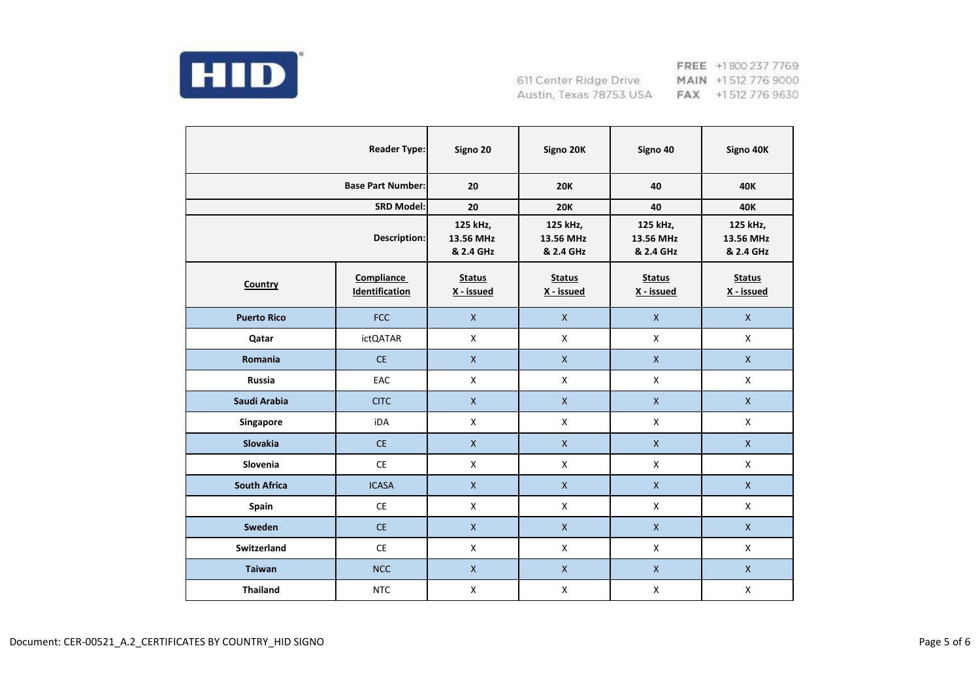

|                          | <b>Reader Type:</b>                 | Signo 20                           | Signo 20K                          | Signo 40                           | Signo 40K                          |
|--------------------------|-------------------------------------|------------------------------------|------------------------------------|------------------------------------|------------------------------------|
| <b>Base Part Number:</b> |                                     | 20                                 | <b>20K</b>                         | 40                                 | 40K                                |
|                          | <b>SRD Model:</b>                   | 20                                 | <b>20K</b>                         | 40                                 | <b>40K</b>                         |
| Description:             |                                     | 125 kHz,<br>13.56 MHz<br>& 2.4 GHz | 125 kHz,<br>13.56 MHz<br>& 2.4 GHz | 125 kHz,<br>13.56 MHz<br>& 2.4 GHz | 125 kHz,<br>13.56 MHz<br>& 2.4 GHz |
| Country                  | <b>Compliance</b><br>Identification | <b>Status</b><br>X - issued        | <b>Status</b><br>X - issued        | <b>Status</b><br>X - issued        | <b>Status</b><br>X - issued        |
| <b>Puerto Rico</b>       | <b>FCC</b>                          | $\mathsf{X}$                       | $\mathsf{X}$                       | $\mathsf{X}$                       | $\mathsf{X}$                       |
| Qatar                    | <b>ictQATAR</b>                     | X                                  | $\mathsf{X}$                       | X                                  | X                                  |
| Romania                  | <b>CE</b>                           | $\mathsf{X}$                       | $\pmb{\mathsf{X}}$                 | $\pmb{\mathsf{X}}$                 | $\mathsf X$                        |
| <b>Russia</b>            | EAC                                 | X                                  | $\mathsf{X}$                       | $\mathsf{X}$                       | $\mathsf{X}$                       |
| Saudi Arabia             | <b>CITC</b>                         | $\mathsf X$                        | $\pmb{\mathsf{X}}$                 | $\pmb{\mathsf{X}}$                 | $\mathsf X$                        |
| Singapore                | iDA                                 | $\mathsf{X}$                       | $\mathsf{X}$                       | X                                  | $\mathsf{X}$                       |
| Slovakia                 | <b>CE</b>                           | $\mathsf{X}$                       | $\mathsf{X}$                       | $\mathsf X$                        | $\mathsf{X}$                       |
| Slovenia                 | <b>CE</b>                           | X                                  | X                                  | X                                  | X                                  |
| <b>South Africa</b>      | <b>ICASA</b>                        | $\mathsf{X}$                       | $\mathsf{X}$                       | $\pmb{\mathsf{X}}$                 | $\mathsf X$                        |
| Spain                    | <b>CE</b>                           | X                                  | X                                  | $\mathsf{X}$                       | X                                  |
| Sweden                   | <b>CE</b>                           | $\mathsf{X}$                       | $\mathsf{X}$                       | $\mathsf{X}$                       | $\mathsf{X}$                       |
| <b>Switzerland</b>       | <b>CE</b>                           | X                                  | $\mathsf{X}$                       | $\mathsf{X}$                       | $\mathsf{X}$                       |
| <b>Taiwan</b>            | <b>NCC</b>                          | $\mathsf{X}$                       | $\mathsf{X}$                       | $\mathsf{X}$                       | $\mathsf{X}$                       |
| <b>Thailand</b>          | <b>NTC</b>                          | $\pmb{\mathsf{X}}$                 | $\mathsf X$                        | $\pmb{\mathsf{X}}$                 | $\pmb{\mathsf{X}}$                 |